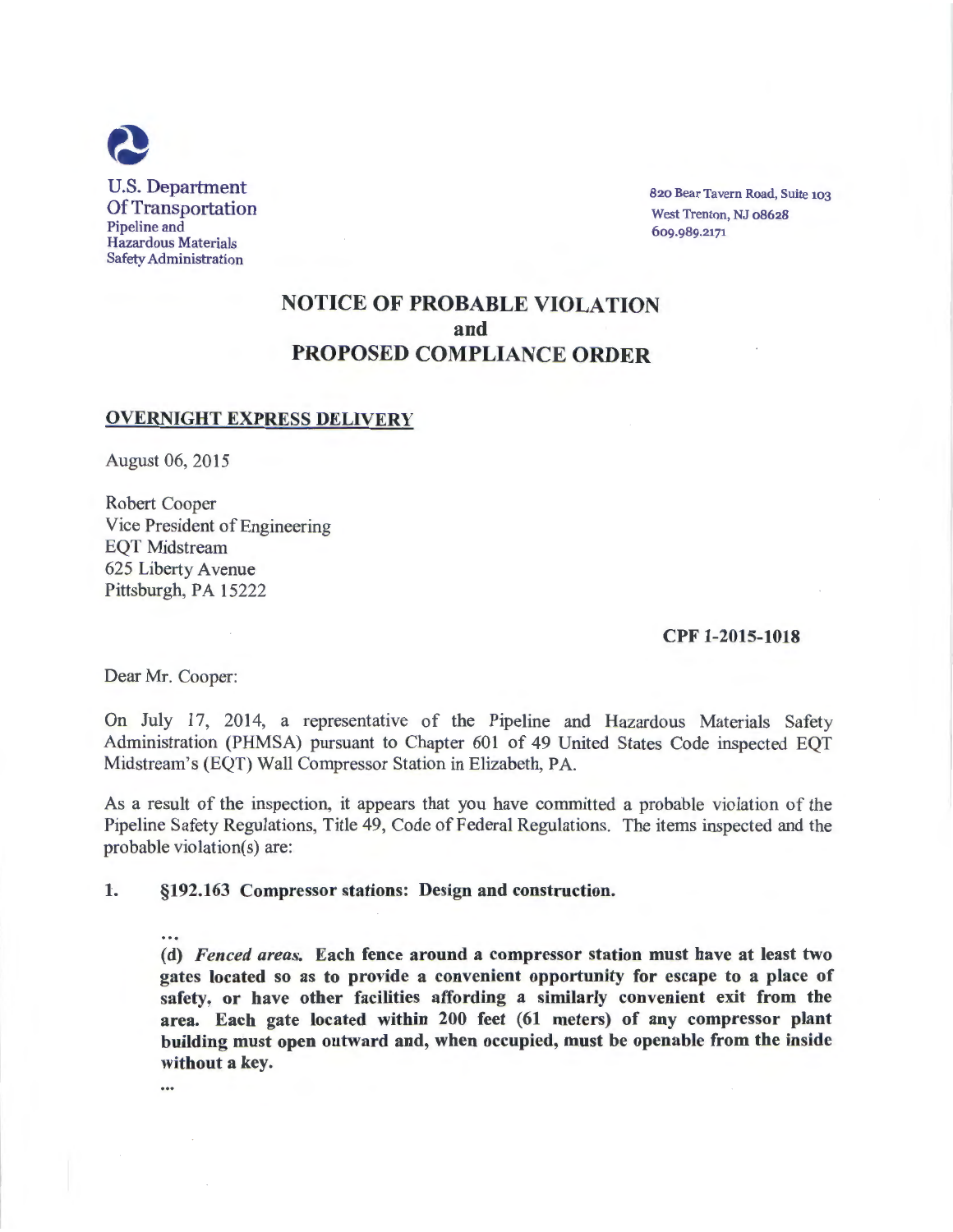

820 Bear Tavern Road, Suite 103 West Trenton, NJ 08628 6og.989.2171

# NOTICE OF PROBABLE VIOLATION and PROPOSED COMPLIANCE ORDER

## OVERNIGHT EXPRESS DELIVERY

August 06, 2015

Robert Cooper Vice President of Engineering EQT Midstream 625 Liberty A venue Pittsburgh, PA 15222

### CPF 1-2015-1018

Dear Mr. Cooper:

On July 17, 2014, a representative of the Pipeline and Hazardous Materials Safety Administration (PHMSA) pursuant to Chapter 601 of 49 United States Code inspected EQT Midstream's (EQT) Wall Compressor Station in Elizabeth, PA.

As a result of the inspection, it appears that you have committed a probable violation of the Pipeline Safety Regulations, Title 49, Code of Federal Regulations. The items inspected and the probable violation(s) are:

#### 1. §192.163 Compressor stations: Design and construction.

 $\cdots$ (d) *Fenced areas.* Each fence around a compressor station must have at least two gates located so as to provide a convenient opportunity for escape to a place of safety, or have other facilities affording a similarly convenient exit from the area. Each gate located within 200 feet (61 meters) of any compressor plant building must open outward and, when occupied, must be openable from the inside without a key.

 $\cdots$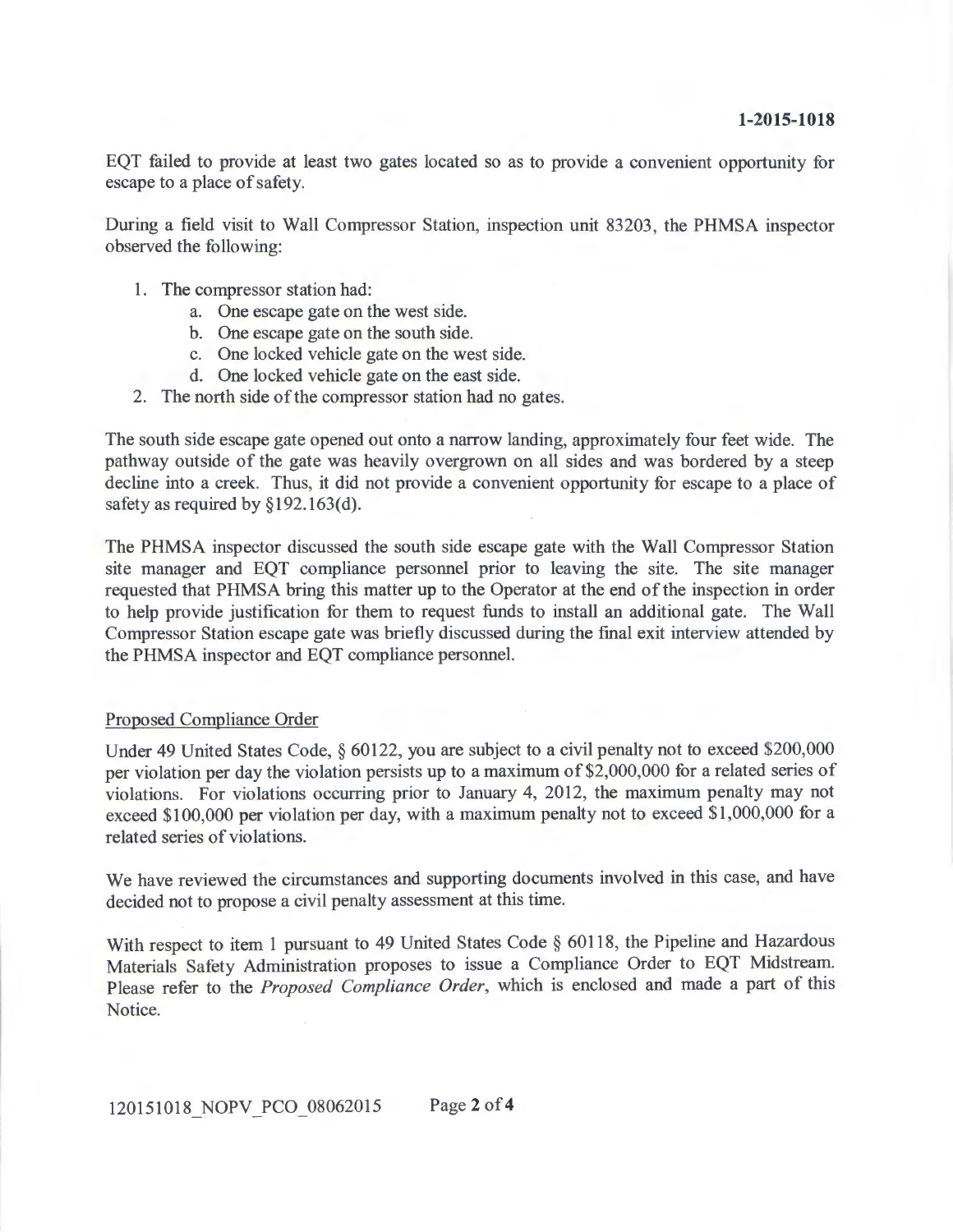EQT failed to provide at least two gates located so as to provide a convenient opportunity for escape to a place of safety.

During a field visit to Wall Compressor Station, inspection unit 83203, the PHMSA inspector observed the following:

- 1. The compressor station had:
	- a. One escape gate on the west side.
	- b. One escape gate on the south side.
	- c. One locked vehicle gate on the west side.
	- d. One locked vehicle gate on the east side.
- 2. The north side of the compressor station had no gates.

The south side escape gate opened out onto a narrow landing, approximately four feet wide. The pathway outside of the gate was heavily overgrown on all sides and was bordered by a steep decline into a creek. Thus, it did not provide a convenient opportunity for escape to a place of safety as required by  $\S 192.163(d)$ .

The PHMSA inspector discussed the south side escape gate with the Wall Compressor Station site manager and EQT compliance personnel prior to leaving the site. The site manager requested that PHMSA bring this matter up to the Operator at the end of the inspection in order to help provide justification for them to request funds to install an additional gate. The Wall Compressor Station escape gate was briefly discussed during the final exit interview attended by the PHMSA inspector and EQT compliance personnel.

## Proposed Compliance Order

Under 49 United States Code, § 60122, you are subject to a civil penalty not to exceed \$200,000 per violation per day the violation persists up to a maximum of \$2,000,000 for a related series of violations. For violations occurring prior to January 4, 2012, the maximum penalty may not exceed \$100,000 per violation per day, with a maximum penalty not to exceed \$1,000,000 for a related series of violations.

We have reviewed the circumstances and supporting documents involved in this case, and have decided not to propose a civil penalty assessment at this time.

With respect to item 1 pursuant to 49 United States Code § 60118, the Pipeline and Hazardous Materials Safety Administration proposes to issue a Compliance Order to EQT Midstream. Please refer to the *Proposed Compliance Order,* which is enclosed and made a part of this Notice.

- -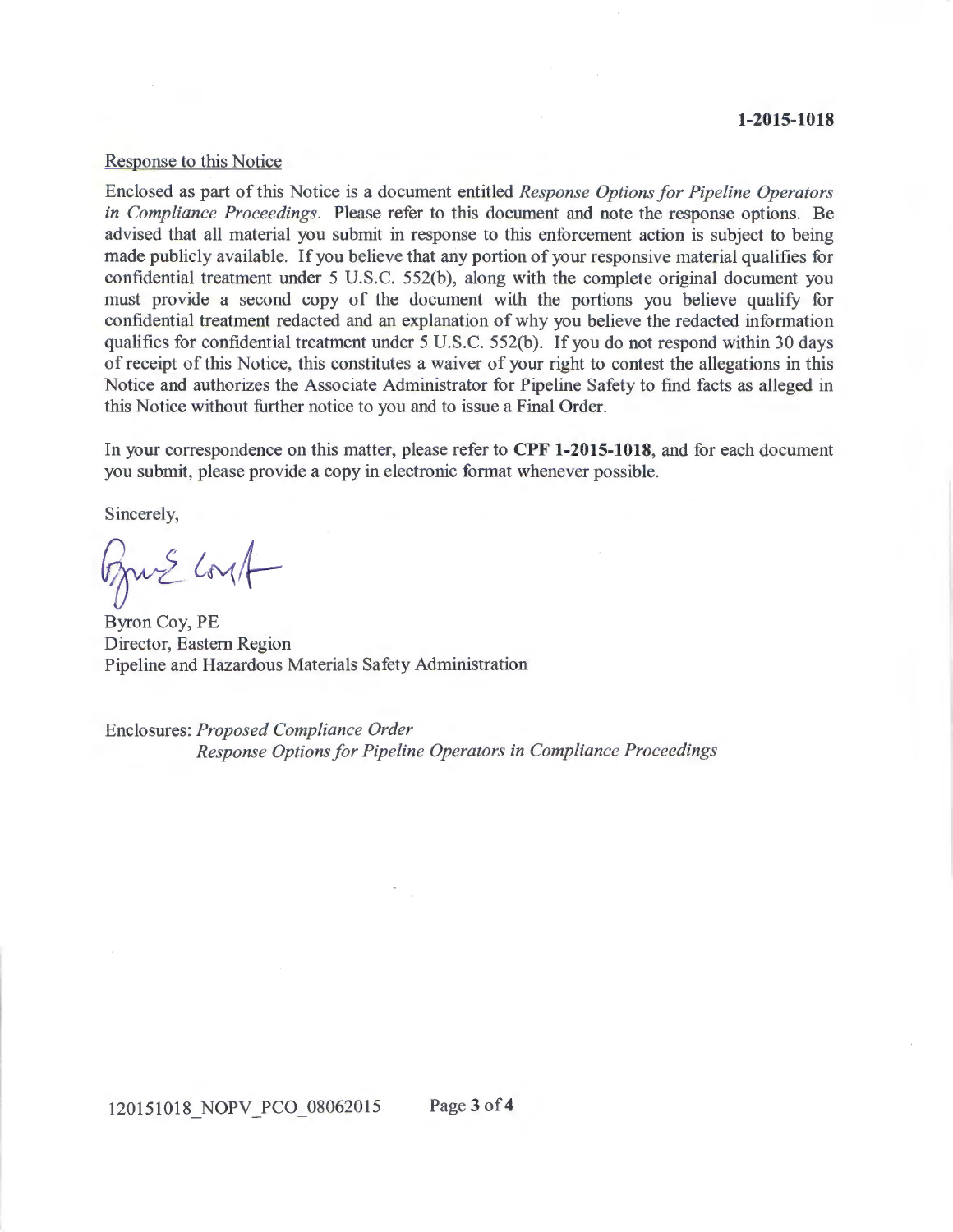#### **1-2015-1018**

#### Response to this Notice

Enclosed as part of this Notice is a document entitled *Response Options for Pipeline Operators in Compliance Proceedings.* Please refer to this document and note the response options. Be advised that all material you submit in response to this enforcement action is subject to being made publicly available. If you believe that any portion of your responsive material qualifies for confidential treatment under 5 U.S.C. 552(b), along with the complete original document you must provide a second copy of the document with the portions you believe qualify for confidential treatment redacted and an explanation of why you believe the redacted information qualifies for confidential treatment under 5 U.S.C. 552(b). If you do not respond within 30 days of receipt of this Notice, this constitutes a waiver of your right to contest the allegations in this Notice and authorizes the Associate Administrator for Pipeline Safety to find facts as alleged in this Notice without further notice to you and to issue a Final Order.

In your correspondence on this matter, please refer to **CPF 1-2015-1018,** and for each document you submit, please provide a copy in electronic format whenever possible.

Sincerely,

 $G_1 \rightarrow G_2$ 

Byron Coy, PE Director, Eastern Region Pipeline and Hazardous Materials Safety Administration

Enclosures: *Proposed Compliance Order Response Options for Pipeline Operators in Compliance Proceedings*